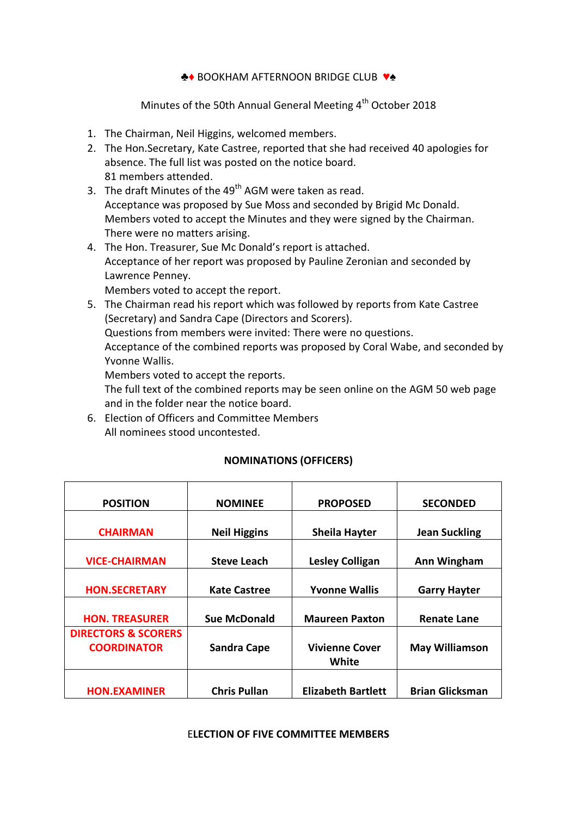### ♣♦ BOOKHAM AFTERNOON BRIDGE CLUB ♥♠

Minutes of the 50th Annual General Meeting 4<sup>th</sup> October 2018

- 1. The Chairman, Neil Higgins, welcomed members.
- 2. The Hon.Secretary, Kate Castree, reported that she had received 40 apologies for absence. The full list was posted on the notice board. 81 members attended.
- 3. The draft Minutes of the 49<sup>th</sup> AGM were taken as read. Acceptance was proposed by Sue Moss and seconded by Brigid Mc Donald. Members voted to accept the Minutes and they were signed by the Chairman. There were no matters arising.
- 4. The Hon. Treasurer, Sue Mc Donald's report is attached. Acceptance of her report was proposed by Pauline Zeronian and seconded by Lawrence Penney.

Members voted to accept the report.

5. The Chairman read his report which was followed by reports from Kate Castree (Secretary) and Sandra Cape (Directors and Scorers). Questions from members were invited: There were no questions. Acceptance of the combined reports was proposed by Coral Wabe, and seconded by Yvonne Wallis.

Members voted to accept the reports.

The full text of the combined reports may be seen online on the AGM 50 web page and in the folder near the notice board.

6. Election of Officers and Committee Members All nominees stood uncontested.

## **NOMINATIONS (OFFICERS)**

| <b>POSITION</b>                                         | <b>NOMINEE</b>      | <b>PROPOSED</b>                | <b>SECONDED</b>        |
|---------------------------------------------------------|---------------------|--------------------------------|------------------------|
| <b>CHAIRMAN</b>                                         | <b>Neil Higgins</b> | <b>Sheila Hayter</b>           | <b>Jean Suckling</b>   |
| <b>VICE-CHAIRMAN</b>                                    | <b>Steve Leach</b>  | <b>Lesley Colligan</b>         | Ann Wingham            |
| <b>HON.SECRETARY</b>                                    | <b>Kate Castree</b> | <b>Yvonne Wallis</b>           | <b>Garry Hayter</b>    |
|                                                         |                     |                                |                        |
| <b>HON. TREASURER</b><br><b>DIRECTORS &amp; SCORERS</b> | <b>Sue McDonald</b> | <b>Maureen Paxton</b>          | <b>Renate Lane</b>     |
| <b>COORDINATOR</b>                                      | <b>Sandra Cape</b>  | <b>Vivienne Cover</b><br>White | <b>May Williamson</b>  |
| <b>HON.EXAMINER</b>                                     | <b>Chris Pullan</b> | <b>Elizabeth Bartlett</b>      | <b>Brian Glicksman</b> |

#### E**LECTION OF FIVE COMMITTEE MEMBERS**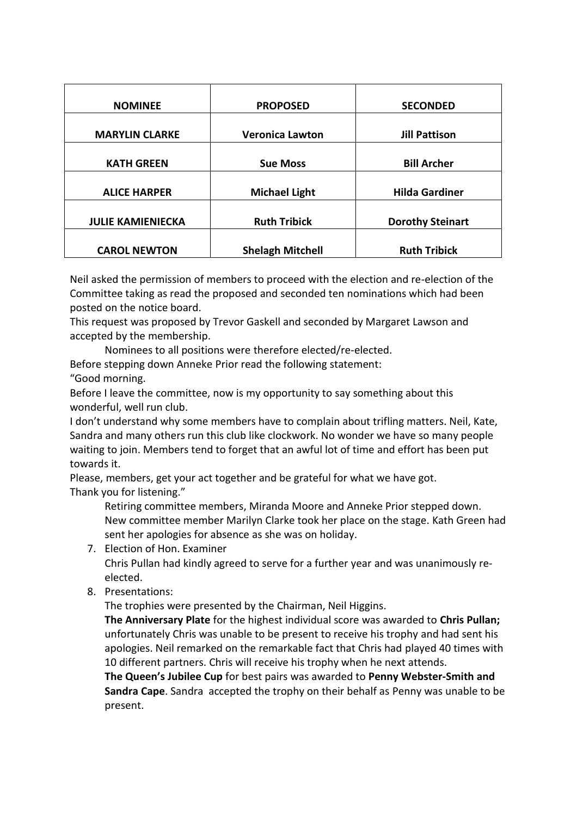| <b>NOMINEE</b>           | <b>PROPOSED</b>         | <b>SECONDED</b>         |
|--------------------------|-------------------------|-------------------------|
| <b>MARYLIN CLARKE</b>    | <b>Veronica Lawton</b>  | <b>Jill Pattison</b>    |
| <b>KATH GREEN</b>        | <b>Sue Moss</b>         | <b>Bill Archer</b>      |
| <b>ALICE HARPER</b>      | <b>Michael Light</b>    | <b>Hilda Gardiner</b>   |
| <b>JULIE KAMIENIECKA</b> | <b>Ruth Tribick</b>     | <b>Dorothy Steinart</b> |
| <b>CAROL NEWTON</b>      | <b>Shelagh Mitchell</b> | <b>Ruth Tribick</b>     |

Neil asked the permission of members to proceed with the election and re-election of the Committee taking as read the proposed and seconded ten nominations which had been posted on the notice board.

This request was proposed by Trevor Gaskell and seconded by Margaret Lawson and accepted by the membership.

Nominees to all positions were therefore elected/re-elected.

Before stepping down Anneke Prior read the following statement:

"Good morning.

Before I leave the committee, now is my opportunity to say something about this wonderful, well run club.

I don't understand why some members have to complain about trifling matters. Neil, Kate, Sandra and many others run this club like clockwork. No wonder we have so many people waiting to join. Members tend to forget that an awful lot of time and effort has been put towards it.

Please, members, get your act together and be grateful for what we have got. Thank you for listening."

Retiring committee members, Miranda Moore and Anneke Prior stepped down. New committee member Marilyn Clarke took her place on the stage. Kath Green had sent her apologies for absence as she was on holiday.

- 7. Election of Hon. Examiner Chris Pullan had kindly agreed to serve for a further year and was unanimously reelected.
- 8. Presentations:

The trophies were presented by the Chairman, Neil Higgins.

**The Anniversary Plate** for the highest individual score was awarded to **Chris Pullan;**  unfortunately Chris was unable to be present to receive his trophy and had sent his apologies. Neil remarked on the remarkable fact that Chris had played 40 times with 10 different partners. Chris will receive his trophy when he next attends.

**The Queen's Jubilee Cup** for best pairs was awarded to **Penny Webster-Smith and Sandra Cape**. Sandra accepted the trophy on their behalf as Penny was unable to be present.